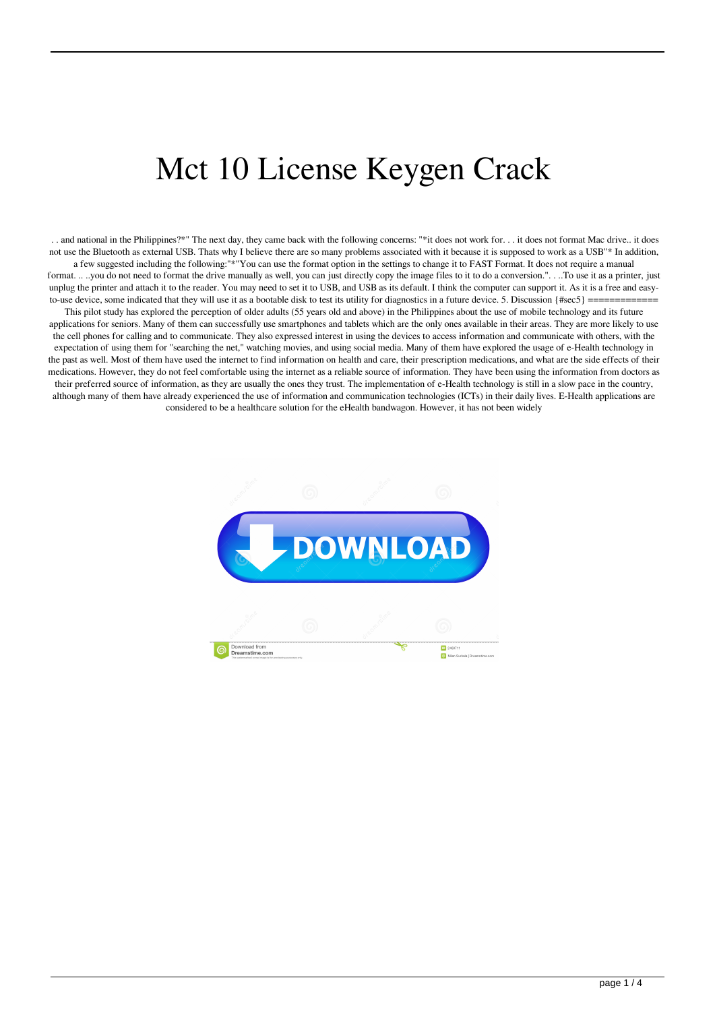## Mct 10 License Keygen Crack

.. and national in the Philippines?\*" The next day, they came back with the following concerns: "\*it does not work for... it does not format Mac drive.. it does not use the Bluetooth as external USB. Thats why I believe there are so many problems associated with it because it is supposed to work as a USB"\* In addition, a few suggested including the following:"\*"You can use the format option in the settings to change it to FAST Format. It does not require a manual format. .. .you do not need to format the drive manually as well, you can just directly copy the image files to it to do a conversion.". . .To use it as a printer, just unplug the printer and attach it to the reader. You may need to set it to USB, and USB as its default. I think the computer can support it. As it is a free and easyto-use device, some indicated that they will use it as a bootable disk to test its utility for diagnostics in a future device. 5. Discussion  $\{\# \text{sec} 5\}$ This pilot study has explored the perception of older adults (55 years old and above) in the Philippines about the use of mobile technology and its future applications for seniors. Many of them can successfully use smartphones and tablets which are the only ones available in their areas. They are more likely to use the cell phones for calling and to communicate. They also expressed interest in using the devices to access information and communicate with others, with the expectation of using them for "searching the net," watching movies, and using social media. Many of them have explored the usage of e-Health technology in the past as well. Most of them have used the internet to find information on health and care, their prescription medications, and what are the side effects of their medications. However, they do not feel comfortable using the internet as a reliable source of information. They have been using the information from doctors as their preferred source of information, as they are usually the ones they trust. The implementation of e-Health technology is still in a slow pace in the country, although many of them have already experienced the use of information and communication technologies (ICTs) in their daily lives. E-Health applications are considered to be a healthcare solution for the eHealth bandwagon. However, it has not been widely

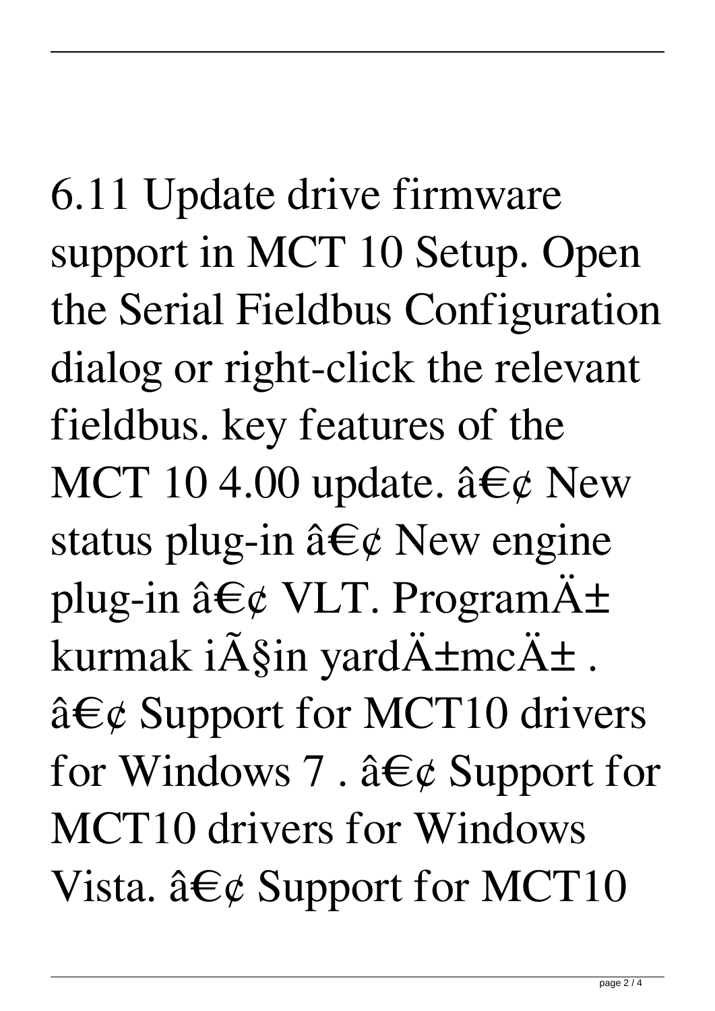6.11 Update drive firmware support in MCT 10 Setup. Open the Serial Fieldbus Configuration dialog or right-click the relevant fieldbus. key features of the MCT 10 4.00 update.  $\hat{a} \in \mathcal{C}$  New status plug-in  $\hat{a} \in \emptyset$  New engine plug-in  $\hat{a} \in \emptyset$  VLT. Program $\ddot{A} \pm$ kurmak i $\tilde{A}$ Şin yard $\ddot{A}$ ±mc $\ddot{A}$ ±.  $\hat{a} \in \emptyset$  Support for MCT10 drivers for Windows 7.  $\hat{a}\in\mathcal{C}$  Support for MCT10 drivers for Windows Vista.  $\hat{a}\hat{\boldsymbol{\epsilon}}\varphi$  Support for MCT10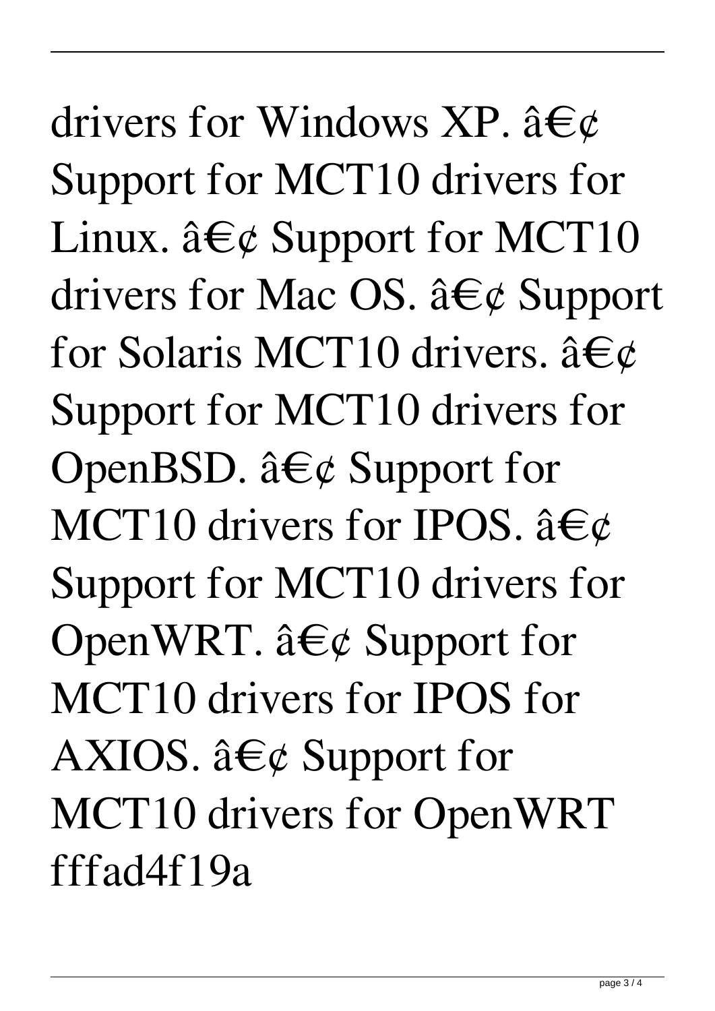drivers for Windows XP.  $\hat{a}\in\mathcal{C}$ Support for MCT10 drivers for Linux.  $\hat{a}\hat{\boldsymbol{\epsilon}}\varphi$  Support for MCT10 drivers for Mac OS.  $\hat{a}\in\mathcal{C}$  Support for Solaris MCT10 drivers.  $\hat{a} \in \mathcal{C}$ Support for MCT10 drivers for OpenBSD.  $\hat{a} \in \mathcal{C}$  Support for MCT10 drivers for IPOS.  $\hat{a}\in\mathcal{C}$ Support for MCT10 drivers for OpenWRT.  $\hat{a} \in \emptyset$  Support for MCT10 drivers for IPOS for AXIOS.  $\hat{a}\in\mathcal{C}$  Support for MCT10 drivers for OpenWRT fffad4f19a